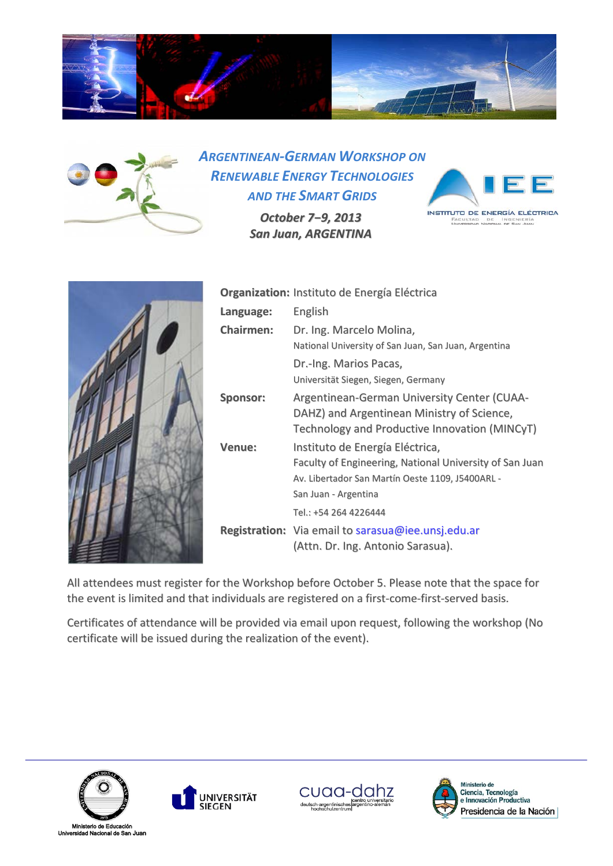



*October 7−9, 2013 San Juan, ARGENTINA ARGENTINEAN-GERMAN WORKSHOP ON RENEWABLE ENERGY TECHNOLOGIES AND THE SMART GRIDS*





|                  | Organization: Instituto de Energía Eléctrica                                                                                                                           |
|------------------|------------------------------------------------------------------------------------------------------------------------------------------------------------------------|
| Language:        | English                                                                                                                                                                |
| <b>Chairmen:</b> | Dr. Ing. Marcelo Molina,                                                                                                                                               |
|                  | National University of San Juan, San Juan, Argentina                                                                                                                   |
|                  | Dr.-Ing. Marios Pacas,                                                                                                                                                 |
|                  | Universität Siegen, Siegen, Germany                                                                                                                                    |
| Sponsor:         | <b>Argentinean-German University Center (CUAA-</b><br>DAHZ) and Argentinean Ministry of Science,<br>Technology and Productive Innovation (MINCyT)                      |
| Venue:           | Instituto de Energía Eléctrica,<br>Faculty of Engineering, National University of San Juan<br>Av. Libertador San Martín Oeste 1109, J5400ARL -<br>San Juan - Argentina |
|                  | Tel.: +54 264 4226444                                                                                                                                                  |
|                  | Registration: Via email to sarasua@iee.unsj.edu.ar<br>(Attn. Dr. Ing. Antonio Sarasua).                                                                                |

All attendees must register for the Workshop before October 5. Please note that the space for the event is limited and that individuals are registered on a first-come-first-served basis.

Certificates of attendance will be provided via email upon request, following the workshop (No certificate will be issued during the realization of the event).









Ministerio de Ciencia, Tecnología<br>e Innovación Productiva Presidencia de la Nación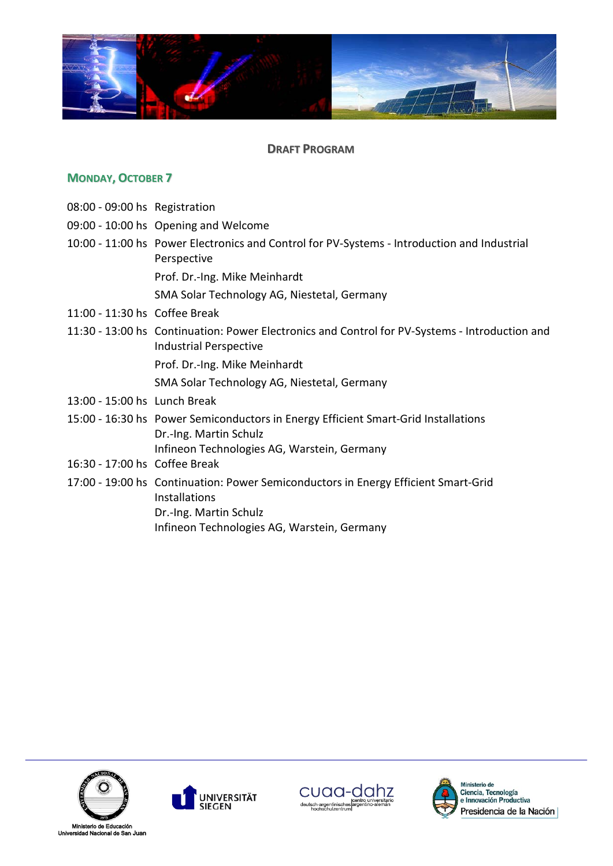

### **DRAFT PROGRAM**

## **MONDAY, OCTOBER 7**

- 08:00 09:00 hs Registration
- 09:00 10:00 hs Opening and Welcome
- 10:00 11:00 hs Power Electronics and Control for PV-Systems Introduction and Industrial Perspective
	- Prof. Dr.-Ing. Mike Meinhardt
	- SMA Solar Technology AG, Niestetal, Germany
- 11:00 11:30 hs Coffee Break
- 11:30 13:00 hs Continuation: Power Electronics and Control for PV-Systems Introduction and Industrial Perspective
	- Prof. Dr.-Ing. Mike Meinhardt

SMA Solar Technology AG, Niestetal, Germany

- 13:00 15:00 hs Lunch Break
- 15:00 16:30 hs Power Semiconductors in Energy Efficient Smart-Grid Installations Dr.-Ing. Martin Schulz Infineon Technologies AG, Warstein, Germany
- 16:30 17:00 hs Coffee Break
- 17:00 19:00 hs Continuation: Power Semiconductors in Energy Efficient Smart-Grid Installations Dr.-Ing. Martin Schulz Infineon Technologies AG, Warstein, Germany









Ministerio de Ciencia, Tecnología<br>e Innovación Productiva Presidencia de la Nación |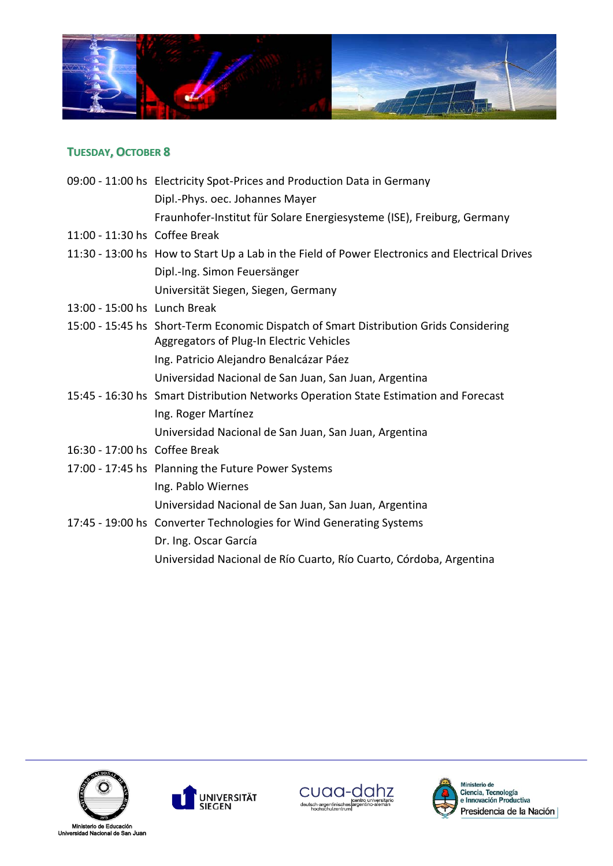

# **TUESDAY, OCTOBER 8**

|                               | 09:00 - 11:00 hs Electricity Spot-Prices and Production Data in Germany                                                           |
|-------------------------------|-----------------------------------------------------------------------------------------------------------------------------------|
|                               | Dipl.-Phys. oec. Johannes Mayer                                                                                                   |
|                               | Fraunhofer-Institut für Solare Energiesysteme (ISE), Freiburg, Germany                                                            |
| 11:00 - 11:30 hs Coffee Break |                                                                                                                                   |
|                               | 11:30 - 13:00 hs How to Start Up a Lab in the Field of Power Electronics and Electrical Drives                                    |
|                               | Dipl.-Ing. Simon Feuersänger                                                                                                      |
|                               | Universität Siegen, Siegen, Germany                                                                                               |
| 13:00 - 15:00 hs Lunch Break  |                                                                                                                                   |
|                               | 15:00 - 15:45 hs Short-Term Economic Dispatch of Smart Distribution Grids Considering<br>Aggregators of Plug-In Electric Vehicles |
|                               | Ing. Patricio Alejandro Benalcázar Páez                                                                                           |
|                               | Universidad Nacional de San Juan, San Juan, Argentina                                                                             |
|                               | 15:45 - 16:30 hs Smart Distribution Networks Operation State Estimation and Forecast                                              |
|                               | Ing. Roger Martínez                                                                                                               |
|                               | Universidad Nacional de San Juan, San Juan, Argentina                                                                             |
| 16:30 - 17:00 hs Coffee Break |                                                                                                                                   |
|                               | 17:00 - 17:45 hs Planning the Future Power Systems                                                                                |
|                               | Ing. Pablo Wiernes                                                                                                                |
|                               | Universidad Nacional de San Juan, San Juan, Argentina                                                                             |
|                               | 17:45 - 19:00 hs Converter Technologies for Wind Generating Systems                                                               |
|                               | Dr. Ing. Oscar García                                                                                                             |
|                               | Universidad Nacional de Río Cuarto, Río Cuarto, Córdoba, Argentina                                                                |
|                               |                                                                                                                                   |

![](_page_2_Picture_3.jpeg)

![](_page_2_Picture_4.jpeg)

![](_page_2_Picture_5.jpeg)

![](_page_2_Picture_6.jpeg)